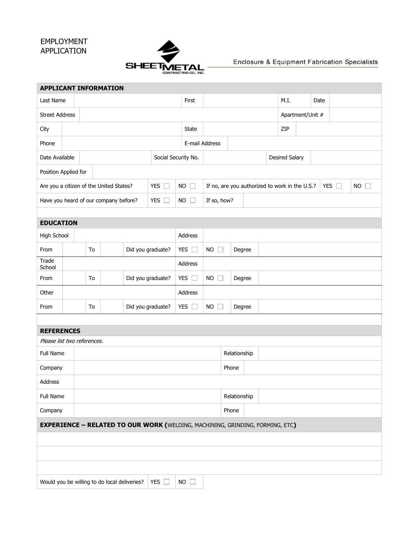## EMPLOYMENT APPLICATION



## Enclosure & Equipment Fabrication Specialists

| <b>APPLICANT INFORMATION</b>                                                         |    |    |  |                                       |                   |               |                |                       |                                                                 |              |      |                       |                  |        |  |  |  |  |  |
|--------------------------------------------------------------------------------------|----|----|--|---------------------------------------|-------------------|---------------|----------------|-----------------------|-----------------------------------------------------------------|--------------|------|-----------------------|------------------|--------|--|--|--|--|--|
| Last Name                                                                            |    |    |  |                                       | First             |               |                |                       | M.I.                                                            |              | Date |                       |                  |        |  |  |  |  |  |
| <b>Street Address</b>                                                                |    |    |  |                                       |                   |               |                |                       |                                                                 |              |      |                       | Apartment/Unit # |        |  |  |  |  |  |
| City                                                                                 |    |    |  |                                       |                   |               |                | State                 |                                                                 |              |      | ZIP                   |                  |        |  |  |  |  |  |
| Phone                                                                                |    |    |  |                                       |                   |               | E-mail Address |                       |                                                                 |              |      |                       |                  |        |  |  |  |  |  |
| Date Available<br>Social Security No.                                                |    |    |  |                                       |                   |               |                |                       |                                                                 |              |      | <b>Desired Salary</b> |                  |        |  |  |  |  |  |
| Position Applied for                                                                 |    |    |  |                                       |                   |               |                |                       |                                                                 |              |      |                       |                  |        |  |  |  |  |  |
| Are you a citizen of the United States?<br>YES $\square$                             |    |    |  |                                       |                   | <b>NO</b>     | П              |                       | If no, are you authorized to work in the U.S.?<br>YES $\square$ |              |      |                       | <b>NO</b>        | $\Box$ |  |  |  |  |  |
|                                                                                      |    |    |  | Have you heard of our company before? |                   | YES $\square$ |                | $NO$ $\Box$           | If so, how?                                                     |              |      |                       |                  |        |  |  |  |  |  |
|                                                                                      |    |    |  |                                       |                   |               |                |                       |                                                                 |              |      |                       |                  |        |  |  |  |  |  |
| <b>EDUCATION</b>                                                                     |    |    |  |                                       |                   |               |                |                       |                                                                 |              |      |                       |                  |        |  |  |  |  |  |
| High School                                                                          |    |    |  |                                       |                   |               |                | Address               |                                                                 |              |      |                       |                  |        |  |  |  |  |  |
| From                                                                                 | To |    |  | Did you graduate?                     | YES $\square$     |               |                | $NO$ $\Box$<br>Degree |                                                                 |              |      |                       |                  |        |  |  |  |  |  |
| Trade<br>School                                                                      |    |    |  |                                       |                   | Address       |                |                       |                                                                 |              |      |                       |                  |        |  |  |  |  |  |
| From                                                                                 |    | To |  |                                       | Did you graduate? |               | YES $\square$  | $NO$ $\Box$           |                                                                 | Degree       |      |                       |                  |        |  |  |  |  |  |
| Other                                                                                |    |    |  |                                       |                   |               | Address        |                       |                                                                 |              |      |                       |                  |        |  |  |  |  |  |
| To<br>From                                                                           |    |    |  | Did you graduate?                     |                   |               | YES $\square$  | $NO$ $\Box$<br>Degree |                                                                 |              |      |                       |                  |        |  |  |  |  |  |
|                                                                                      |    |    |  |                                       |                   |               |                |                       |                                                                 |              |      |                       |                  |        |  |  |  |  |  |
| <b>REFERENCES</b>                                                                    |    |    |  |                                       |                   |               |                |                       |                                                                 |              |      |                       |                  |        |  |  |  |  |  |
| Please list two references.                                                          |    |    |  |                                       |                   |               |                |                       |                                                                 |              |      |                       |                  |        |  |  |  |  |  |
| Full Name                                                                            |    |    |  |                                       |                   |               |                |                       | Relationship                                                    |              |      |                       |                  |        |  |  |  |  |  |
| Company                                                                              |    |    |  |                                       |                   |               |                |                       | Phone                                                           |              |      |                       |                  |        |  |  |  |  |  |
| Address                                                                              |    |    |  |                                       |                   |               |                |                       |                                                                 |              |      |                       |                  |        |  |  |  |  |  |
| Full Name                                                                            |    |    |  |                                       |                   |               |                |                       |                                                                 | Relationship |      |                       |                  |        |  |  |  |  |  |
| Company<br>Phone                                                                     |    |    |  |                                       |                   |               |                |                       |                                                                 |              |      |                       |                  |        |  |  |  |  |  |
| <b>EXPERIENCE - RELATED TO OUR WORK (WELDING, MACHINING, GRINDING, FORMING, ETC)</b> |    |    |  |                                       |                   |               |                |                       |                                                                 |              |      |                       |                  |        |  |  |  |  |  |
|                                                                                      |    |    |  |                                       |                   |               |                |                       |                                                                 |              |      |                       |                  |        |  |  |  |  |  |
|                                                                                      |    |    |  |                                       |                   |               |                |                       |                                                                 |              |      |                       |                  |        |  |  |  |  |  |
|                                                                                      |    |    |  |                                       |                   |               |                |                       |                                                                 |              |      |                       |                  |        |  |  |  |  |  |
| Would you be willing to do local deliveries?<br>YES $\square$<br>$NO$ $\Box$         |    |    |  |                                       |                   |               |                |                       |                                                                 |              |      |                       |                  |        |  |  |  |  |  |